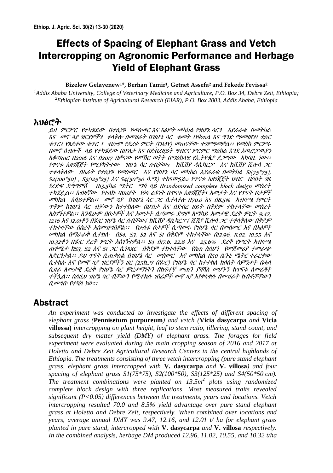# Effects of Spacing of Elephant Grass and Vetch Intercropping on Agronomic Performance and Herbage Yield of Elephant Grass

#### **Bizelew Gelayenew1\*, Berhan Tamir1, Getnet Assefa<sup>2</sup> and Fekede Feyissa<sup>2</sup>**

*<sup>1</sup>Addis Ababa University, College of Veterinary Medicine and Agriculture*, *P.O. Box 34, Debre Zeit, Ethiopia; <sup>2</sup>Ethiopian Institute of Agricultural Research (EIAR)*, *P.O. Box 2003, Addis Ababa, Ethiopia*

## አህፅሮት

ይህ ምርምር የተካሄደው በተለያዩ የመስመር እና እፅዎት መካከል የዝሆኔ ሳርን እያራራቁ በመትክል እና መኖ ጓያ ዝርያዎችን ቀላቅሎ በመዝራት በዝሆኔ ሳር ቁመት ፣የቅጠል እና ግንድ ማመዛዘን፣ ቲለር ቁጥር፤ የጸደቀው ቁጥር ፣ ብሎም የደረቀ ምርት (DMY) መጠናቸው ተገምግመዎል፡፡ የመስክ ምርምሩ በመኖ ሰብሎች ላይ የተካሄደው በሆለታ እና በደብረዘይት ግብርና ምርምር ማዕከል እንደ አዉሮፓዉያን አቆጣጠር በ<sup>2016</sup> እና በ2017 በዎናው የመኸር ወቅት በማዕከላዊ የኢትዮጰያ ደጋማው አካባቢ ነው፡፡ የጥናቱ አዘገጃጀት የሚያካትተው ዝሆኔ ሳር ለብቻው፤ ከቪሽያ ዳሲካርፓ እና ከቪሽያ ቪሎሳ ጋር ተቀላቅለው በአራት የተለያዩ የመስመር እና የዝሆኔ ሳር መካከል እያራራቁ በመትክል S1(75\*75), S2(100\*50) , S3(125\*25) እና S4(50\*50 ሳ.ሜ) ተከናውኗል:: የጥናቱ አዘገጃጀት ህብር በሶስት ገዜ የረድፍ ድግግሞሽ <sup>በ</sup>13.5ካሬ ሜትር ማሳ ላይ <sup>በ</sup>randomized complete block design መሰረት ተካሂዷል፡፡ አብዛኛው የተለኩ ባህሪያት የጎላ ልዩነት በጥናቱ አዘገጃጀት፣ አመታት እና የጥናት ቦታዎች መካከል አሳይተዎል፡፡ መኖ ጓያ ከዝሆኔ ሳር ጋር ሲቀላቀሉ በ70.0 እና በ8.5% አብላጫ የምርት ጥቅም ከዝሆኔ ሳር ብቻውን ከተተከለው በሆለታ እና በደብረ ዘይት በቅደም ተከተላቸው መሰረት አስገኝተዎል፡፡ እንዲሁም በቦታዎች እና አመታት ሲጣመሩ ደግሞ አማካይ አመታዊ ደረቅ ምርት 9.47, 12.16 እና 12.01ቶን በሄ/ር ዝሆኔ ሳር ለብቻው፤ ከቪሽያ ዳሲካርፓ፤ ቪሽያ ቪሎሳ ጋር ተቀላቅለው በቅደም ተከተላቸው በስረት አስመዝግበዎል፡፡ የሁለቱ ቦታዎች ሲጣመሩ የዝሆኔ ሳር በመስመር እና በእፅዎት መካከል በማራራቅ ሲተከሉ በS4, S3, S2 እና S1 በቅደም ተከተላቸው በ12.96, 11.02, 10.55 እና 10.32ቶን በሄ/<sup>ር</sup> ደረቅ ምርት አስገኝተዎል፡፡ S4 በ17.6, 22.8 እና 25.6% ደረቅ የምርት አብላጫ ጠቀሜታ ከS3, S2 እና S1 ጋር ሲነጻጸር በቅደም ተከተላቸው የሰጠ ስለሆነ የመጀመሪያ ተመራጭ አድርጎታል፡፡ ይህ ጥናት ሲጠቃለል በዝሆኔ ሳር መስመር እና መካከል በ50 ሴንቲ ሜትር ተራርቀው ሲተከሉ እና የመኖ ጓያ ዝርያዎችን ዘር (25ኪ.<sup>ግ</sup> በሄ/<sup>ር</sup>) የዝሆኔ ሳር ከተተከለ ከሶስት ሳምንታት በሓላ ሲዘራ አመታዊ ደረቅ የዝሆኔ ሳር ምርታማነትን በከፍተኛ መጠን ያሻሻለ መሆኑን ከጥናቱ ለመረዳት ተችሏል፡፡ ስለዚህ ዝሆኔ ሳር ብቻውን የሚተክሉ ገበሬዎች መኖ ጓያ እየቀላቀሉ በመዝራት ከብቶቻቸውን ቢመግቡ የተሻለ ነው፡፡

# Abstract

*An experiment was conducted to investigate the effects of different spacing of elephant grass (***Pennisetum purpureum***) and vetch (***Vicia dasycarpa** *and* **Vicia villossa)** *intercropping on plant height, leaf to stem ratio, tillering, stand count, and subsequent dry matter yield (DMY) of elephant grass. The forages for field experiment were evaluated during the main cropping season of 2016 and 2017 at Holetta and Debre Zeit Agricultural Research Centers in the central highlands of Ethiopia. The treatments consisting of three vetch intercropping (pure stand elephant grass, elephant grass intercropped with* **V. dasycarpa** *and* **V. villosa***) and four spacing of elephant grass S1(75\*75), S2(100\*50), S3(125\*25) and S4(50\*50 cm). The treatment combinations were planted on 13.5m<sup>2</sup> plots using randomized complete block design with three replications. Most measured traits revealed significant (P<0.05) differences between the treatments, years and locations. Vetch intercropping resulted 70.0 and 8.5% yield advantage over pure stand elephant grass at Holetta and Debre Zeit, respectively. When combined over locations and years, average annual DMY was 9.47, 12.16, and 12.01 t/ ha for elephant grass planted in pure stand, intercropped with* **V. dasycarpa** *and* **V. villosa** *respectively. In the combined analysis, herbage DM produced 12.96, 11.02, 10.55, and 10.32 t/ha*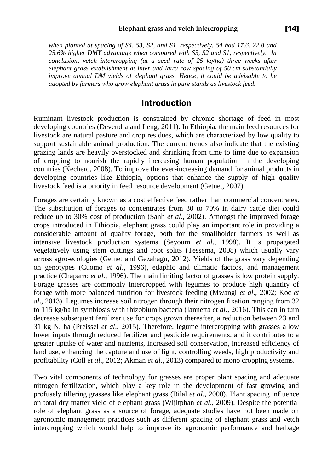*when planted at spacing of S4, S3, S2, and S1, respectively. S4 had 17.6, 22.8 and 25.6% higher DMY advantage when compared with S3, S2 and S1, respectively. In conclusion, vetch intercropping (at a seed rate of 25 kg/ha) three weeks after elephant grass establishment at inter and intra row spacing of 50 cm substantially improve annual DM yields of elephant grass. Hence, it could be advisable to be adopted by farmers who grow elephant grass in pure stands as livestock feed.*

## Introduction

Ruminant livestock production is constrained by chronic shortage of feed in most developing countries (Devendra and Leng, 2011). In Ethiopia, the main feed resources for livestock are natural pasture and crop residues, which are characterized by low quality to support sustainable animal production. The current trends also indicate that the existing grazing lands are heavily overstocked and shrinking from time to time due to expansion of cropping to nourish the rapidly increasing human population in the developing countries (Kechero, 2008). To improve the ever-increasing demand for animal products in developing countries like Ethiopia, options that enhance the supply of high quality livestock feed is a priority in feed resource development (Getnet, 2007).

Forages are certainly known as a cost effective feed rather than commercial concentrates. The substitution of forages to concentrates from 30 to 70% in dairy cattle diet could reduce up to 30% cost of production (Sanh *et al.*, 2002). Amongst the improved forage crops introduced in Ethiopia, elephant grass could play an important role in providing a considerable amount of quality forage, both for the smallholder farmers as well as intensive livestock production systems (Seyoum *et al*., 1998). It is propagated vegetatively using stem cuttings and root splits (Tessema, 2008) which usually vary across agro-ecologies (Getnet and Gezahagn, 2012). Yields of the grass vary depending on genotypes (Cuomo *et al*., 1996), edaphic and climatic factors, and management practice (Chaparro *et al.*, 1996). The main limiting factor of grasses is low protein supply. Forage grasses are commonly intercropped with legumes to produce high quantity of forage with more balanced nutrition for livestock feeding (Mwangi *et al*., 2002; Koc *et al*., 2013). Legumes increase soil nitrogen through their nitrogen fixation ranging from 32 to 115 kg/ha in symbiosis with rhizobium bacteria (Iannetta *et al*., 2016). This can in turn decrease subsequent fertilizer use for crops grown thereafter, a reduction between 23 and 31 kg N, ha (Preissel *et al*., 2015). Therefore, legume intercropping with grasses allow lower inputs through reduced fertilizer and pesticide requirements, and it contributes to a greater uptake of water and nutrients, increased soil conservation, increased efficiency of land use, enhancing the capture and use of light, controlling weeds, high productivity and profitability (Coll *et al*., 2012; Akman *et al*., 2013) compared to mono cropping systems.

Two vital components of technology for grasses are proper plant spacing and adequate nitrogen fertilization, which play a key role in the development of fast growing and profusely tillering grasses like elephant grass (Bilal *et al*., 2000). Plant spacing influence on total dry matter yield of elephant grass (Wijitphan *et al*., 2009). Despite the potential role of elephant grass as a source of forage, adequate studies have not been made on agronomic management practices such as different spacing of elephant grass and vetch intercropping which would help to improve its agronomic performance and herbage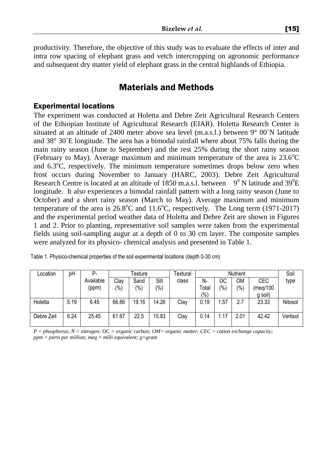productivity. Therefore, the objective of this study was to evaluate the effects of inter and intra row spacing of elephant grass and vetch intercropping on agronomic performance and subsequent dry matter yield of elephant grass in the central highlands of Ethiopia.

# Materials and Methods

#### Experimental locations

The experiment was conducted at Holetta and Debre Zeit Agricultural Research Centers of the Ethiopian Institute of Agricultural Research (EIAR). Holetta Research Center is situated at an altitude of 2400 meter above sea level (m.a.s.l.) between  $9^{\circ}$  00`N latitude and 38° 30`E longitude. The area has a bimodal rainfall where about 75% falls during the main rainy season (June to September) and the rest 25% during the short rainy season (February to May). Average maximum and minimum temperature of the area is  $23.6^{\circ}$ C and  $6.3^{\circ}$ C, respectively. The minimum temperature sometimes drops below zero when frost occurs during November to January (HARC, 2003). Debre Zeit Agricultural Research Centre is located at an altitude of 1850 m.a.s.l. between  $9^0$  N latitude and 39<sup>0</sup>E longitude. It also experiences a bimodal rainfall pattern with a long rainy season (June to October) and a short rainy season (March to May). Average maximum and minimum temperature of the area is  $26.8^{\circ}$ C and  $11.6^{\circ}$ C, respectively. The Long term (1971-2017) and the experimental period weather data of Holetta and Debre Zeit are shown in Figures 1 and 2. Prior to planting, representative soil samples were taken from the experimental fields using soil-sampling augur at a depth of 0 to 30 cm layer. The composite samples were analyzed for its physico- chemical analysis and presented in Table 1.

| Location   | pH   | Р.        | Texture |         |                | Textural | Soil  |      |      |          |          |
|------------|------|-----------|---------|---------|----------------|----------|-------|------|------|----------|----------|
|            |      | Available | Clay    | Sand    | Silt           | class    | N-    | ОC   | ОM   | CEC      | type     |
|            |      | (ppm)     | (%)     | $(\% )$ | $\frac{10}{6}$ |          | Total | (%)  | (%)  | (meg/100 |          |
|            |      |           |         |         |                |          | (9/0) |      |      | g soil)  |          |
| Holetta    | 5.19 | 6.45      | 66.66   | 19.16   | 14.26          | Clay     | 0.19  | 1.57 | 2.7  | 23.33    | Nitosol  |
|            |      |           |         |         |                |          |       |      |      |          |          |
| Debre Zeit | 6.24 | 25.45     | 61.67   | 22.5    | 15.83          | Clay     | 0.14  | 1.17 | 2.01 | 42.42    | Vertisol |
|            |      |           |         |         |                |          |       |      |      |          |          |

| Table 1. Physico-chemical properties of the soil experimental locations (depth 0-30 cm) |
|-----------------------------------------------------------------------------------------|
|-----------------------------------------------------------------------------------------|

*P = phosphorus; N = nitrogen; OC = organic carbon; OM= organic matter; CEC = cation exchange capacity; ppm = parts per million; meq = milli equivalent; g=gram*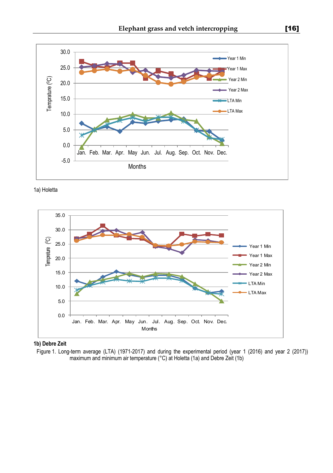

1a) Holetta



**1b) Debre Zeit**

Figure 1. Long-term average (LTA) (1971-2017) and during the experimental period (year 1 (2016) and year 2 (2017)) maximum and minimum air temperature (°C) at Holetta (1a) and Debre Zeit (1b)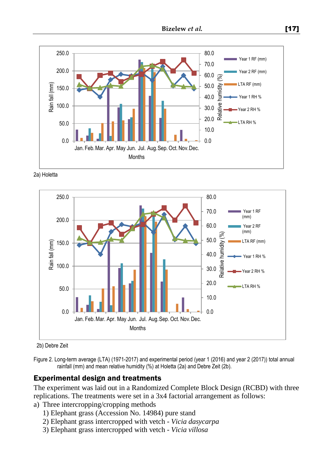

2a) Holetta



2b) Debre Zeit

Figure 2. Long-term average (LTA) (1971-2017) and experimental period (year 1 (2016) and year 2 (2017)) total annual rainfall (mm) and mean relative humidity (%) at Holetta (2a) and Debre Zeit (2b).

### Experimental design and treatments

The experiment was laid out in a Randomized Complete Block Design (RCBD) with three replications. The treatments were set in a 3x4 factorial arrangement as follows:

- a) Three intercropping/cropping methods
	- 1) Elephant grass (Accession No. 14984) pure stand
	- 2) Elephant grass intercropped with vetch *Vicia dasycarpa*
	- 3) Elephant grass intercropped with vetch *Vicia villosa*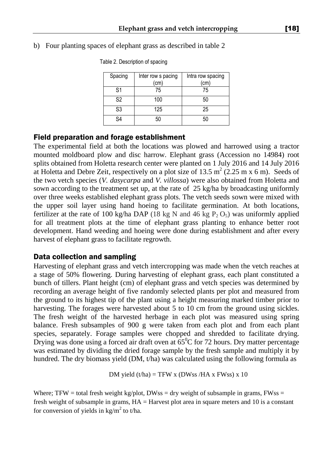| Spacing | Inter row s pacing | Intra row spacing |
|---------|--------------------|-------------------|
|         | (cm)               | (cm)              |
| S1      | 75                 | 75                |
| S2      | 100                | 50                |
| S3      | 125                | 25                |
| SΔ      |                    | 50                |

### b) Four planting spaces of elephant grass as described in table 2

Table 2. Description of spacing

## Field preparation and forage establishment

The experimental field at both the locations was plowed and harrowed using a tractor mounted moldboard plow and disc harrow. Elephant grass (Accession no 14984) root splits obtained from Holetta research center were planted on 1 July 2016 and 14 July 2016 at Holetta and Debre Zeit, respectively on a plot size of 13.5  $m^2$  (2.25 m x 6 m). Seeds of the two vetch species (*V. dasycarpa* and *V. villossa*) were also obtained from Holetta and sown according to the treatment set up, at the rate of 25 kg/ha by broadcasting uniformly over three weeks established elephant grass plots. The vetch seeds sown were mixed with the upper soil layer using hand hoeing to facilitate germination. At both locations, fertilizer at the rate of 100 kg/ha DAP (18 kg N and 46 kg  $P_2 O_5$ ) was uniformly applied for all treatment plots at the time of elephant grass planting to enhance better root development. Hand weeding and hoeing were done during establishment and after every harvest of elephant grass to facilitate regrowth.

## Data collection and sampling

Harvesting of elephant grass and vetch intercropping was made when the vetch reaches at a stage of 50% flowering. During harvesting of elephant grass, each plant constituted a bunch of tillers. Plant height (cm) of elephant grass and vetch species was determined by recording an average height of five randomly selected plants per plot and measured from the ground to its highest tip of the plant using a height measuring marked timber prior to harvesting. The forages were harvested about 5 to 10 cm from the ground using sickles. The fresh weight of the harvested herbage in each plot was measured using spring balance. Fresh subsamples of 900 g were taken from each plot and from each plant species, separately. Forage samples were chopped and shredded to facilitate drying. Drying was done using a forced air draft oven at  $65^{\circ}$ C for 72 hours. Dry matter percentage was estimated by dividing the dried forage sample by the fresh sample and multiply it by hundred. The dry biomass yield (DM, t/ha) was calculated using the following formula as

$$
DM yield (t/ha) = TFW x (DWss/HA x FWss) x 10
$$

Where; TFW = total fresh weight kg/plot, DWss = dry weight of subsample in grams, FWss = fresh weight of subsample in grams, HA = Harvest plot area in square meters and 10 is a constant for conversion of yields in  $\text{kg/m}^2$  to t/ha.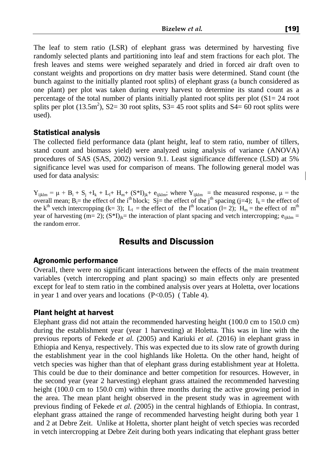The leaf to stem ratio (LSR) of elephant grass was determined by harvesting five randomly selected plants and partitioning into leaf and stem fractions for each plot. The fresh leaves and stems were weighed separately and dried in forced air draft oven to constant weights and proportions on dry matter basis were determined. Stand count (the bunch against to the initially planted root splits) of elephant grass (a bunch considered as one plant) per plot was taken during every harvest to determine its stand count as a percentage of the total number of plants initially planted root splits per plot  $(S1 = 24$  root splits per plot  $(13.5m^2)$ , S2= 30 root splits, S3= 45 root splits and S4= 60 root splits were used).

#### Statistical analysis

The collected field performance data (plant height, leaf to stem ratio, number of tillers, stand count and biomass yield) were analyzed using analysis of variance (ANOVA) procedures of SAS (SAS, 2002) version 9.1. Least significance difference (LSD) at 5% significance level was used for comparison of means. The following general model was used for data analysis:

 $Y_{ijklm} = \mu + B_i + S_j + I_k + L_l + H_m + (S^*I)_{jk} + e_{ijklm}$ ; where  $Y_{ijklm} =$  the measured response,  $\mu$  = the overall mean;  $B_i$ = the effect of the i<sup>th</sup> block; Sj= the effect of the j<sup>th</sup> spacing (j=4); I<sub>k</sub> = the effect of the k<sup>th</sup> vetch intercropping (k= 3); L<sub>1</sub> = the effect of the l<sup>th</sup> location (l= 2); H<sub>m</sub> = the effect of m<sup>th</sup> year of harvesting (m= 2);  $(S^*I)_{ik}$ = the interaction of plant spacing and vetch intercropping;  $e_{iiklm}$  = the random error.

# Results and Discussion

### Agronomic performance

Overall, there were no significant interactions between the effects of the main treatment variables (vetch intercropping and plant spacing) so main effects only are presented except for leaf to stem ratio in the combined analysis over years at Holetta, over locations in year 1 and over years and locations  $(P<0.05)$  (Table 4).

### Plant height at harvest

Elephant grass did not attain the recommended harvesting height (100.0 cm to 150.0 cm) during the establishment year (year 1 harvesting) at Holetta. This was in line with the previous reports of Fekede *et al.* (2005) and Kariuki *et al.* (2016) in elephant grass in Ethiopia and Kenya, respectively. This was expected due to its slow rate of growth during the establishment year in the cool highlands like Holetta. On the other hand, height of vetch species was higher than that of elephant grass during establishment year at Holetta. This could be due to their dominance and better competition for resources. However, in the second year (year 2 harvesting) elephant grass attained the recommended harvesting height (100.0 cm to 150.0 cm) within three months during the active growing period in the area. The mean plant height observed in the present study was in agreement with previous finding of Fekede *et al. (*2005) in the central highlands of Ethiopia. In contrast, elephant grass attained the range of recommended harvesting height during both year 1 and 2 at Debre Zeit. Unlike at Holetta, shorter plant height of vetch species was recorded in vetch intercropping at Debre Zeit during both years indicating that elephant grass better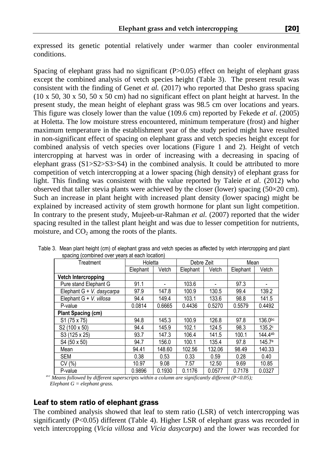expressed its genetic potential relatively under warmer than cooler environmental conditions.

Spacing of elephant grass had no significant (P>0.05) effect on height of elephant grass except the combined analysis of vetch species height (Table 3). The present result was consistent with the finding of Genet *et al.* (2017) who reported that Desho grass spacing (10 x 50, 30 x 50, 50 x 50 cm) had no significant effect on plant height at harvest. In the present study, the mean height of elephant grass was 98.5 cm over locations and years. This figure was closely lower than the value (109.6 cm) reported by Fekede *et al*. (2005) at Holetta. The low moisture stress encountered, minimum temperature (frost) and higher maximum temperature in the establishment year of the study period might have resulted in non-significant effect of spacing on elephant grass and vetch species height except for combined analysis of vetch species over locations (Figure 1 and 2). Height of vetch intercropping at harvest was in order of increasing with a decreasing in spacing of elephant grass (S1>S2>S3>S4) in the combined analysis. It could be attributed to more competition of vetch intercropping at a lower spacing (high density) of elephant grass for light. This finding was consistent with the value reported by Taleie *et al.* (2012) who observed that taller stevia plants were achieved by the closer (lower) spacing (50×20 cm). Such an increase in plant height with increased plant density (lower spacing) might be explained by increased activity of stem growth hormone for plant sun light competition. In contrary to the present study, Mujeeb-ur-Rahman *et al.* (2007) reported that the wider spacing resulted in the tallest plant height and was due to lesser competition for nutrients, moisture, and  $CO<sub>2</sub>$  among the roots of the plants.

| Treatment                  | Holetta  |        | Debre Zeit |        | Mean     |                     |  |
|----------------------------|----------|--------|------------|--------|----------|---------------------|--|
|                            | Elephant | Vetch  | Elephant   | Vetch  | Elephant | Vetch               |  |
| <b>Vetch Intercropping</b> |          |        |            |        |          |                     |  |
| Pure stand Elephant G      | 91.1     |        | 103.6      |        | 97.3     |                     |  |
| Elephant G + V. dasycarpa  | 97.9     | 147.8  | 100.9      | 130.5  | 99.4     | 139.2               |  |
| Elephant G + V. villosa    | 94.4     | 149.4  | 103.1      | 133.6  | 98.8     | 141.5               |  |
| P-value                    | 0.0814   | 0.6665 | 0.4436     | 0.5270 | 0.5579   | 0.4492              |  |
| Plant Spacing (cm)         |          |        |            |        |          |                     |  |
| S <sub>1</sub> (75 x 75)   | 94.8     | 145.3  | 100.9      | 126.8  | 97.8     | 136.0 <sub>pc</sub> |  |
| S <sub>2</sub> (100 x 50)  | 94.4     | 145.9  | 102.1      | 124.5  | 98.3     | 135.2c              |  |
| S3 (125 x 25)              | 93.7     | 147.3  | 106.4      | 141.5  | 100.1    | 144.4ab             |  |
| S4 (50 x 50)               | 94.7     | 156.0  | 100.1      | 135.4  | 97.8     | 145.7a              |  |
| Mean                       | 94.41    | 148.60 | 102.56     | 132.06 | 98.49    | 140.33              |  |
| <b>SEM</b>                 | 0.38     | 0.53   | 0.33       | 0.59   | 0.28     | 0.40                |  |
| CV (%)                     | 10.97    | 9.08   | 7.57       | 12.50  | 9.69     | 10.85               |  |
| P-value                    | 0.9896   | 0.1930 | 0.1176     | 0.0577 | 0.7178   | 0.0327              |  |

Table 3. Mean plant height (cm) of elephant grass and vetch species as affected by vetch intercropping and plant spacing (combined over years at each location)

 *a-c Means followed by different superscripts within a column are significantly different (P<0.05); Elephant G = elephant grass.* 

### Leaf to stem ratio of elephant grass

The combined analysis showed that leaf to stem ratio (LSR) of vetch intercropping was significantly (P<0.05) different (Table 4). Higher LSR of elephant grass was recorded in vetch intercropping (*Vicia villosa* and *Vicia dasycarpa*) and the lower was recorded for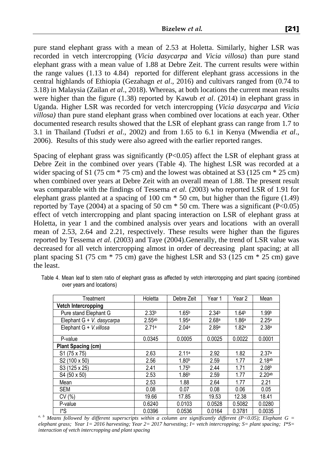pure stand elephant grass with a mean of 2.53 at Holetta. Similarly, higher LSR was recorded in vetch intercropping (*Vicia dasycarpa* and *Vicia villosa*) than pure stand elephant grass with a mean value of 1.88 at Debre Zeit. The current results were within the range values (1.13 to 4.84) reported for different elephant grass accessions in the central highlands of Ethiopia (Gezahagn *et al*., 2016) and cultivars ranged from (0.74 to 3.18) in Malaysia (Zailan *et al*., 2018). Whereas, at both locations the current mean results were higher than the figure (1.38) reported by Kawub *et al*. (2014) in elephant grass in Uganda. Higher LSR was recorded for vetch intercropping (*Vicia dasycarpa* and *Vicia villosa)* than pure stand elephant grass when combined over locations at each year. Other documented research results showed that the LSR of elephant grass can range from 1.7 to 3.1 in Thailand (Tudsri *et al*., 2002) and from 1.65 to 6.1 in Kenya (Mwendia *et al*., 2006). Results of this study were also agreed with the earlier reported ranges.

Spacing of elephant grass was significantly  $(P<0.05)$  affect the LSR of elephant grass at Debre Zeit in the combined over years (Table 4). The highest LSR was recorded at a wider spacing of S1 (75 cm  $*$  75 cm) and the lowest was obtained at S3 (125 cm  $*$  25 cm) when combined over years at Debre Zeit with an overall mean of 1.88. The present result was comparable with the findings of Tessema *et al.* (2003) who reported LSR of 1.91 for elephant grass planted at a spacing of 100 cm \* 50 cm, but higher than the figure (1.49) reported by Taye (2004) at a spacing of 50 cm  $*$  50 cm. There was a significant (P<0.05) effect of vetch intercropping and plant spacing interaction on LSR of elephant grass at Holetta, in year 1 and the combined analysis over years and locations with an overall mean of 2.53, 2.64 and 2.21, respectively. These results were higher than the figures reported by Tessema *et al.* (2003) and Taye (2004).Generally, the trend of LSR value was decreased for all vetch intercropping almost in order of decreasing plant spacing; at all plant spacing S1 (75 cm  $*$  75 cm) gave the highest LSR and S3 (125 cm  $*$  25 cm) gave the least.

| Treatment                 | Holetta           | Debre Zeit        | Year 1            | Year 2            | Mean               |
|---------------------------|-------------------|-------------------|-------------------|-------------------|--------------------|
| Vetch Intercropping       |                   |                   |                   |                   |                    |
| Pure stand Elephant G     | 2.33 <sup>b</sup> | 1.65 <sup>b</sup> | 2.34 <sup>b</sup> | 1.64 <sup>b</sup> | 1.99 <sup>b</sup>  |
| Elephant G + V. dasycarpa | 2.55ab            | 1.95a             | 2.68 <sup>a</sup> | 1.86 <sup>a</sup> | 2.25 <sup>a</sup>  |
| Elephant G + V. villosa   | 2.71a             | 2.04a             | 2.89a             | 1.82a             | 2.38 <sup>a</sup>  |
| P-value                   | 0.0345            | 0.0005            | 0.0025            | 0.0022            | 0.0001             |
| <b>Plant Spacing (cm)</b> |                   |                   |                   |                   |                    |
| $S1(75 \times 75)$        | 2.63              | 2.11a             | 2.92              | 1.82              | 2.37a              |
| S2 (100 x 50)             | 2.56              | 1.80 <sup>b</sup> | 2.59              | 1.77              | 2.18ab             |
| S3 (125 x 25)             | 2.41              | 1.75 <sup>b</sup> | 2.44              | 1.71              | 2.08 <sup>b</sup>  |
| S4 (50 x 50)              | 2.53              | 1.86 <sup>b</sup> | 2.59              | 1.77              | 2.20 <sub>ab</sub> |
| Mean                      | 2.53              | 1.88              | 2.64              | 1.77              | 2.21               |
| <b>SEM</b>                | 0.08              | 0.07              | 0.08              | 0.06              | 0.05               |
| CV(%)                     | 19.66             | 17.85             | 19.53             | 12.38             | 18.41              |
| P-value                   | 0.6240            | 0.0103            | 0.0528            | 0.5082            | 0.0280             |
| l*S                       | 0.0396            | 0.0536            | 0.0164            | 0.3781            | 0.0035             |

Table 4. Mean leaf to stem ratio of elephant grass as affected by vetch intercropping and plant spacing (combined over years and locations)

*a, b Means followed by different superscripts within a column are significantly different (P<0.05); Elephant G = elephant grass; Year 1= 2016 harvesting; Year 2= 2017 harvesting; I= vetch intercropping; S= plant spacing; I\*S= interaction of vetch intercropping and plant spacing*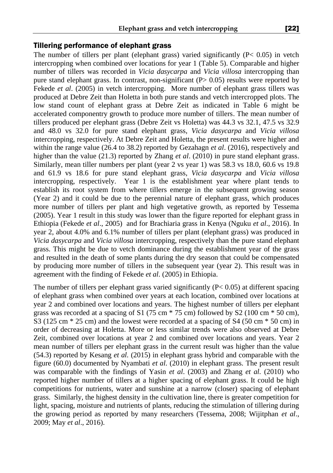#### Tillering performance of elephant grass

The number of tillers per plant (elephant grass) varied significantly  $(P< 0.05)$  in vetch intercropping when combined over locations for year 1 (Table 5). Comparable and higher number of tillers was recorded in *Vicia dasycarpa* and *Vicia villosa* intercropping than pure stand elephant grass. In contrast, non-significant  $(P> 0.05)$  results were reported by Fekede *et al.* (2005) in vetch intercropping. More number of elephant grass tillers was produced at Debre Zeit than Holetta in both pure stands and vetch intercropped plots. The low stand count of elephant grass at Debre Zeit as indicated in Table 6 might be accelerated componentry growth to produce more number of tillers. The mean number of tillers produced per elephant grass (Debre Zeit vs Holetta) was 44.3 vs 32.1, 47.5 vs 32.9 and 48.0 vs 32.0 for pure stand elephant grass, *Vicia dasycarpa* and *Vicia villosa* intercropping, respectively. At Debre Zeit and Holetta, the present results were higher and within the range value (26.4 to 38.2) reported by Gezahagn *et al*. (2016), respectively and higher than the value (21.3) reported by Zhang *et al.* (2010) in pure stand elephant grass. Similarly, mean tiller numbers per plant (year 2 vs year 1) was 58.3 vs 18.0, 60.6 vs 19.8 and 61.9 vs 18.6 for pure stand elephant grass, *Vicia dasycarpa* and *Vicia villosa* intercropping, respectively. Year 1 is the establishment year where plant tends to establish its root system from where tillers emerge in the subsequent growing season (Year 2) and it could be due to the perennial nature of elephant grass, which produces more number of tillers per plant and high vegetative growth, as reported by Tessema (2005). Year 1 result in this study was lower than the figure reported for elephant grass in Ethiopia (Fekede *et al*., 2005) and for Brachiaria grass in Kenya (Nguku *et al*., 2016). In year 2, about 4.0% and 6.1% number of tillers per plant (elephant grass) was produced in *Vicia dasycarpa* and *Vicia villosa* intercropping, respectively than the pure stand elephant grass. This might be due to vetch dominance during the establishment year of the grass and resulted in the death of some plants during the dry season that could be compensated by producing more number of tillers in the subsequent year (year 2). This result was in agreement with the finding of Fekede *et al*. (2005) in Ethiopia.

The number of tillers per elephant grass varied significantly (P< 0.05) at different spacing of elephant grass when combined over years at each location, combined over locations at year 2 and combined over locations and years. The highest number of tillers per elephant grass was recorded at a spacing of S1 (75 cm  $*$  75 cm) followed by S2 (100 cm  $*$  50 cm), S3 (125 cm  $*$  25 cm) and the lowest were recorded at a spacing of S4 (50 cm  $*$  50 cm) in order of decreasing at Holetta. More or less similar trends were also observed at Debre Zeit, combined over locations at year 2 and combined over locations and years. Year 2 mean number of tillers per elephant grass in the current result was higher than the value (54.3) reported by Kesang *et al.* (2015) in elephant grass hybrid and comparable with the figure (60.0) documented by Nyambati *et al.* (2010) in elephant grass. The present result was comparable with the findings of Yasin *et al*. (2003) and Zhang *et al.* (2010) who reported higher number of tillers at a higher spacing of elephant grass. It could be high competitions for nutrients, water and sunshine at a narrow (closer) spacing of elephant grass. Similarly, the highest density in the cultivation line, there is greater competition for light, spacing, moisture and nutrients of plants, reducing the stimulation of tillering during the growing period as reported by many researchers (Tessema, 2008; Wijitphan *et al*., 2009; May *et al*., 2016).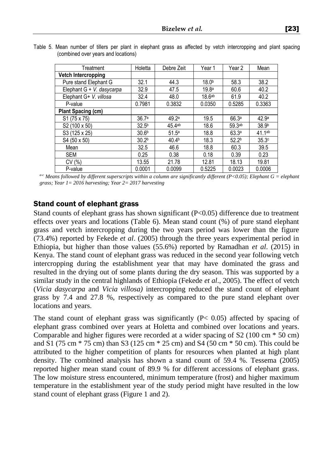| Treatment                 | Holetta           | Debre Zeit        | Year 1             | Year 2            | Mean               |
|---------------------------|-------------------|-------------------|--------------------|-------------------|--------------------|
| Vetch Intercropping       |                   |                   |                    |                   |                    |
| Pure stand Elephant G     | 32.1              | 44.3              | 18.0 <sup>b</sup>  | 58.3              | 38.2               |
| Elephant G + V. dasycarpa | 32.9              | 47.5              | 19.8 <sup>a</sup>  | 60.6              | 40.2               |
| Elephant G+ V. villosa    | 32.4              | 48.0              | 18.6 <sup>ab</sup> | 61.9              | 40.2               |
| P-value                   | 0.7981            | 0.3832            | 0.0350             | 0.5285            | 0.3363             |
| <b>Plant Spacing (cm)</b> |                   |                   |                    |                   |                    |
| S1 (75 x 75)              | 36.7 <sup>a</sup> | 49.2a             | 19.5               | 66.3a             | 42.9 <sup>a</sup>  |
| S <sub>2</sub> (100 x 50) | 32.5 <sup>b</sup> | 45.4ab            | 18.6               | 59.3ab            | 38.9 <sup>b</sup>  |
| S3 (125 x 25)             | 30.6 <sup>b</sup> | 51.5 <sup>a</sup> | 18.8               | 63.3a             | 41.1 <sup>ab</sup> |
| S4 (50 x 50)              | 30.2 <sup>b</sup> | 40.4 <sup>b</sup> | 18.3               | 52.2 <sup>b</sup> | 35.3c              |
| Mean                      | 32.5              | 46.6              | 18.8               | 60.3              | 39.5               |
| <b>SEM</b>                | 0.25              | 0.38              | 0.18               | 0.39              | 0.23               |
| CV(% )                    | 13.55             | 21.78             | 12.81              | 18.13             | 19.81              |
| P-value                   | 0.0001            | 0.0099            | 0.5225             | 0.0023            | 0.0006             |

|  |                                     |  |  |  |  |  | Table 5. Mean number of tillers per plant in elephant grass as affected by vetch intercropping and plant spacing |  |  |
|--|-------------------------------------|--|--|--|--|--|------------------------------------------------------------------------------------------------------------------|--|--|
|  | (combined over years and locations) |  |  |  |  |  |                                                                                                                  |  |  |

*a-c Means followed by different superscripts within a column are significantly different (P<0.05); Elephant G = elephant grass; Year 1= 2016 harvesting; Year 2= 2017 harvesting* 

#### Stand count of elephant grass

Stand counts of elephant grass has shown significant (P<0.05) difference due to treatment effects over years and locations (Table 6). Mean stand count (%) of pure stand elephant grass and vetch intercropping during the two years period was lower than the figure (73.4%) reported by Fekede *et al*. (2005) through the three years experimental period in Ethiopia, but higher than those values (55.6%) reported by Ramadhan *et al*. (2015) in Kenya. The stand count of elephant grass was reduced in the second year following vetch intercropping during the establishment year that may have dominated the grass and resulted in the drying out of some plants during the dry season. This was supported by a similar study in the central highlands of Ethiopia (Fekede *et al*., 2005). The effect of vetch (*Vicia dasycarpa* and *Vicia villosa)* intercropping reduced the stand count of elephant grass by 7.4 and 27.8 %, respectively as compared to the pure stand elephant over locations and years.

The stand count of elephant grass was significantly  $(P< 0.05)$  affected by spacing of elephant grass combined over years at Holetta and combined over locations and years. Comparable and higher figures were recorded at a wider spacing of S2 (100 cm \* 50 cm) and S1 (75 cm \* 75 cm) than S3 (125 cm \* 25 cm) and S4 (50 cm \* 50 cm). This could be attributed to the higher competition of plants for resources when planted at high plant density. The combined analysis has shown a stand count of 59.4 %. Tessema (2005) reported higher mean stand count of 89.9 % for different accessions of elephant grass. The low moisture stress encountered, minimum temperature (frost) and higher maximum temperature in the establishment year of the study period might have resulted in the low stand count of elephant grass (Figure 1 and 2).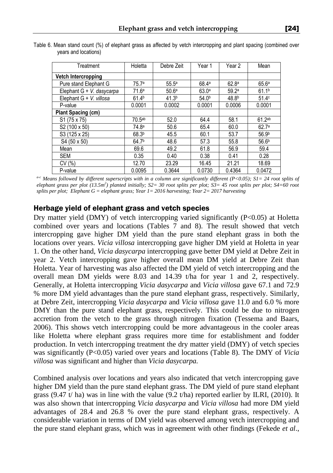| Treatment                 | Holetta            | Debre Zeit        | Year 1            | Year 2            | Mean              |
|---------------------------|--------------------|-------------------|-------------------|-------------------|-------------------|
| Vetch Intercropping       |                    |                   |                   |                   |                   |
| Pure stand Elephant G     | 75.7a              | 55.5 <sup>a</sup> | 68.4a             | 62.8 <sup>a</sup> | 65.6a             |
| Elephant G + V. dasycarpa | 71.6 <sup>a</sup>  | 50.6 <sup>a</sup> | 63.0 <sup>a</sup> | 59.2a             | 61.1 <sup>b</sup> |
| Elephant G + V. villosa   | 61.4 <sup>b</sup>  | 41.3 <sup>b</sup> | 54.0 <sup>b</sup> | 48.8 <sup>b</sup> | 51.4 <sup>c</sup> |
| P-value                   | 0.0001             | 0.0002            | 0.0001            | 0.0006            | 0.0001            |
| Plant Spacing (cm)        |                    |                   |                   |                   |                   |
| S <sub>1</sub> (75 x 75)  | 70.5 <sup>ab</sup> | 52.0              | 64.4              | 58.1              | 61.2ab            |
| S2 (100 x 50)             | 74.8a              | 50.6              | 65.4              | 60.0              | 62.7a             |
| S3 (125 x 25)             | 68.3 <sup>b</sup>  | 45.5              | 60.1              | 53.7              | 56.9 <sup>b</sup> |
| S4 (50 x 50)              | 64.7 <sup>b</sup>  | 48.6              | 57.3              | 55.8              | 56.6 <sup>b</sup> |
| Mean                      | 69.6               | 49.2              | 61.8              | 56.9              | 59.4              |
| <b>SEM</b>                | 0.35               | 0.40              | 0.38              | 0.41              | 0.28              |
| CV(%)                     | 12.70              | 23.29             | 16.45             | 21.21             | 18.69             |
| P-value                   | 0.0095             | 0.3644            | 0.0730            | 0.4364            | 0.0472            |

Table 6. Mean stand count (%) of elephant grass as affected by vetch intercropping and plant spacing (combined over years and locations)

*a-c Means followed by different superscripts with in a column are significantly different (P<0.05); S1= 24 root splits of elephant grass per plot (13.5m<sup>2</sup> ) planted initially; S2= 30 root splits per plot; S3= 45 root splits per plot; S4=60 root splits per plot; Elephant G = elephant grass; Year 1= 2016 harvesting; Year 2= 2017 harvesting* 

### Herbage yield of elephant grass and vetch species

Dry matter yield (DMY) of vetch intercropping varied significantly  $(P<0.05)$  at Holetta combined over years and locations (Tables 7 and 8). The result showed that vetch intercropping gave higher DM yield than the pure stand elephant grass in both the locations over years. *Vicia villosa* intercropping gave higher DM yield at Holetta in year 1. On the other hand, *Vicia dasycarpa* intercropping gave better DM yield at Debre Zeit in year 2. Vetch intercropping gave higher overall mean DM yield at Debre Zeit than Holetta. Year of harvesting was also affected the DM yield of vetch intercropping and the overall mean DM yields were 8.03 and 14.39 t/ha for year 1 and 2, respectively. Generally, at Holetta intercropping *Vicia dasycarpa* and *Vicia villosa* gave 67.1 and 72.9 % more DM yield advantages than the pure stand elephant grass, respectively. Similarly, at Debre Zeit, intercropping *Vicia dasycarpa* and *Vicia villosa* gave 11.0 and 6.0 % more DMY than the pure stand elephant grass, respectively. This could be due to nitrogen accretion from the vetch to the grass through nitrogen fixation (Tessema and Baars, 2006). This shows vetch intercropping could be more advantageous in the cooler areas like Holetta where elephant grass requires more time for establishment and fodder production. In vetch intercropping treatment the dry matter yield (DMY) of vetch species was significantly (P<0.05) varied over years and locations (Table 8). The DMY of *Vicia villosa* was significant and higher than *Vicia dasycarpa.*

Combined analysis over locations and years also indicated that vetch intercropping gave higher DM yield than the pure stand elephant grass. The DM yield of pure stand elephant grass (9.47 t/ ha) was in line with the value (9.2 t/ha) reported earlier by ILRI, (2010). It was also shown that intercropping *Vicia dasycarpa* and *Vicia villosa* had more DM yield advantages of 28.4 and 26.8 % over the pure stand elephant grass, respectively. A considerable variation in terms of DM yield was observed among vetch intercropping and the pure stand elephant grass, which was in agreement with other findings (Fekede *et al*.,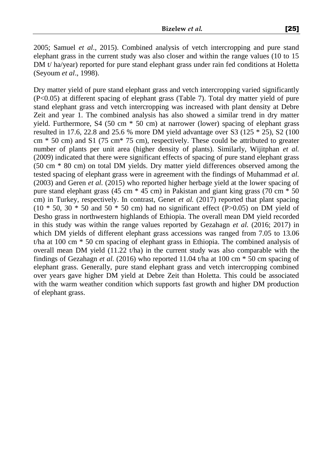2005; Samuel *et al*., 2015). Combined analysis of vetch intercropping and pure stand elephant grass in the current study was also closer and within the range values (10 to 15 DM t/ ha/year) reported for pure stand elephant grass under rain fed conditions at Holetta (Seyoum *et al*., 1998).

Dry matter yield of pure stand elephant grass and vetch intercropping varied significantly (P<0.05) at different spacing of elephant grass (Table 7). Total dry matter yield of pure stand elephant grass and vetch intercropping was increased with plant density at Debre Zeit and year 1. The combined analysis has also showed a similar trend in dry matter yield. Furthermore, S4 (50 cm \* 50 cm) at narrower (lower) spacing of elephant grass resulted in 17.6, 22.8 and 25.6 % more DM yield advantage over S3 (125 \* 25), S2 (100  $cm * 50$  cm) and S1 (75 cm $*$  75 cm), respectively. These could be attributed to greater number of plants per unit area (higher density of plants). Similarly, Wijitphan *et al.* (2009) indicated that there were significant effects of spacing of pure stand elephant grass (50 cm \* 80 cm) on total DM yields. Dry matter yield differences observed among the tested spacing of elephant grass were in agreement with the findings of Muhammad *et al.* (2003) and Geren *et al.* (2015) who reported higher herbage yield at the lower spacing of pure stand elephant grass (45 cm \* 45 cm) in Pakistan and giant king grass (70 cm \* 50 cm) in Turkey, respectively. In contrast, Genet *et al.* (2017) reported that plant spacing  $(10 * 50, 30 * 50$  and  $50 * 50$  cm) had no significant effect  $(P>0.05)$  on DM yield of Desho grass in northwestern highlands of Ethiopia. The overall mean DM yield recorded in this study was within the range values reported by Gezahagn *et al.* (2016; 2017) in which DM yields of different elephant grass accessions was ranged from 7.05 to 13.06 t/ha at 100 cm \* 50 cm spacing of elephant grass in Ethiopia. The combined analysis of overall mean DM yield  $(11.22 \t{tha})$  in the current study was also comparable with the findings of Gezahagn *et al.* (2016) who reported 11.04 t/ha at 100 cm \* 50 cm spacing of elephant grass. Generally, pure stand elephant grass and vetch intercropping combined over years gave higher DM yield at Debre Zeit than Holetta. This could be associated with the warm weather condition which supports fast growth and higher DM production of elephant grass.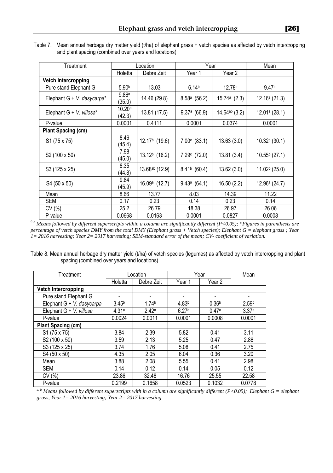Table 7.Mean annual herbage dry matter yield (t/ha) of elephant grass + vetch species as affected by vetch intercropping and plant spacing (combined over years and locations)

| Treatment                     |                             | Location                  | Year                  | Mean               |                   |
|-------------------------------|-----------------------------|---------------------------|-----------------------|--------------------|-------------------|
|                               | Holetta                     | Debre Zeit                | Year 1                | Year 2             |                   |
| <b>Vetch Intercropping</b>    |                             |                           |                       |                    |                   |
| Pure stand Elephant G         | 5.90 <sup>b</sup>           | 13.03                     | 6.14 <sup>b</sup>     | 12.78 <sup>b</sup> | 9.47 <sup>b</sup> |
| Elephant $G + V$ . dasycarpa* | 9.86 <sup>a</sup><br>(35.0) | 14.46 (29.8)              | $8.58a$ (56.2)        | 15.74a(2.3)        | 12.16a(21.3)      |
| Elephant G + V. villosa*      | 10.20a<br>(42.3)            | 13.81 (17.5)              | $9.37a$ (66.9)        | $14.64^{ab}$ (3.2) | $12.01a$ (28.1)   |
| P-value                       | 0.0001                      | 0.4111                    | 0.0001                | 0.0374             | 0.0001            |
| <b>Plant Spacing (cm)</b>     |                             |                           |                       |                    |                   |
| S1 (75 x 75)                  | 8.46<br>(45.4)              | $12.17b$ (19.6)           | $7.00^{\circ}$ (83.1) | 13.63(3.0)         | $10.32b$ (30.1)   |
| S2 (100 x 50)                 | 7.98<br>(45.0)              | 13.12 <sup>b</sup> (16.2) | $7.29c$ (72.0)        | 13.81(3.4)         | $10.55b$ (27.1)   |
| S3 (125 x 25)                 | 8.35<br>(44.8)              | $13.68^{ab}$ (12.9)       | $8.41b$ (60.4)        | 13.62(3.0)         | $11.02b$ (25.0)   |
| S4 (50 x 50)                  | 9.84<br>(45.9)              | $16.09a$ (12.7)           | 9.43a(64.1)           | 16.50(2.2)         | 12.96a(24.7)      |
| Mean                          | 8.66                        | 13.77                     | 8.03                  | 14.39              | 11.22             |
| SEM                           | 0.17                        | 0.23                      | 0.14                  | 0.23               | 0.14              |
| CV(%)                         | 25.2                        | 26.79                     | 18.38                 | 26.97              | 26.06             |
| P-value                       | 0.0668                      | 0.0163                    | 0.0001                | 0.0827             | 0.0008            |

<sup>a</sup>*-c Means followed by different superscripts within a column are significantly different (P<0.05); \*Figures in parenthesis are percentage of vetch species DMY from the total DMY (Elephant grass + Vetch species); Elephant G = elephant grass ; Year 1= 2016 harvesting; Year 2= 2017 harvesting; SEM-standard error of the mean; CV- coefficient of variation.* 

Table 8. Mean annual herbage dry matter yield (t/ha) of vetch species (legumes) as affected by vetch intercropping and plant spacing (combined over years and locations)

| Treatment                  |                   | Location          | Year              | Mean              |                   |
|----------------------------|-------------------|-------------------|-------------------|-------------------|-------------------|
|                            | Holetta           | Debre Zeit        | Year 1            | Year 2            |                   |
| <b>Vetch Intercropping</b> |                   |                   |                   |                   |                   |
| Pure stand Elephant G.     |                   |                   | -                 |                   |                   |
| Elephant G + V. dasycarpa  | 3.45 <sup>b</sup> | 1.74 <sup>b</sup> | 4.83 <sup>b</sup> | 0.36 <sup>b</sup> | 2.59 <sup>b</sup> |
| Elephant G + V. villosa    | 4.31a             | 2.42a             | 6.27a             | 0.47a             | 3.37a             |
| P-value                    | 0.0024            | 0.0011            | 0.0001            | 0.0008            | 0.0001            |
| Plant Spacing (cm)         |                   |                   |                   |                   |                   |
| S1 (75 x 75)               | 3.84              | 2.39              | 5.82              | 0.41              | 3.11              |
| S2 (100 x 50)              | 3.59              | 2.13              | 5.25              | 0.47              | 2.86              |
| S3 (125 x 25)              | 3.74              | 1.76              | 5.08              | 0.41              | 2.75              |
| S4 (50 x 50)               | 4.35              | 2.05              | 6.04              | 0.36              | 3.20              |
| Mean                       | 3.88              | 2.08              | 5.55              | 0.41              | 2.98              |
| <b>SEM</b>                 | 0.14              | 0.12              | 0.14              | 0.05              | 0.12              |
| CV(%)                      | 23.86             | 32.48             | 16.76             | 25.55             | 22.58             |
| P-value                    | 0.2199            | 0.1658            | 0.0523            | 0.1032            | 0.0778            |

*a, b Means followed by different superscripts with in a column are significantly different (P<0.05); Elephant G = elephant grass; Year 1= 2016 harvesting; Year 2= 2017 harvesting*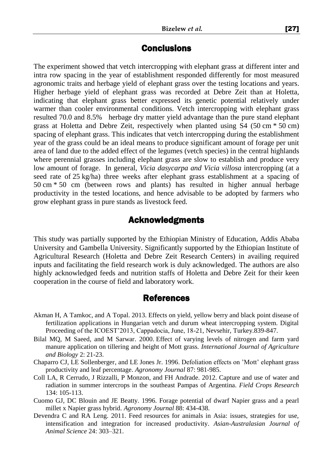# **Conclusions**

The experiment showed that vetch intercropping with elephant grass at different inter and intra row spacing in the year of establishment responded differently for most measured agronomic traits and herbage yield of elephant grass over the testing locations and years. Higher herbage yield of elephant grass was recorded at Debre Zeit than at Holetta, indicating that elephant grass better expressed its genetic potential relatively under warmer than cooler environmental conditions. Vetch intercropping with elephant grass resulted 70.0 and 8.5% herbage dry matter yield advantage than the pure stand elephant grass at Holetta and Debre Zeit, respectively when planted using S4 (50 cm \* 50 cm) spacing of elephant grass. This indicates that vetch intercropping during the establishment year of the grass could be an ideal means to produce significant amount of forage per unit area of land due to the added effect of the legumes (vetch species) in the central highlands where perennial grasses including elephant grass are slow to establish and produce very low amount of forage. In general, *Vicia dasycarpa and Vicia villosa* intercropping (at a seed rate of 25 kg/ha) three weeks after elephant grass establishment at a spacing of 50 cm \* 50 cm (between rows and plants) has resulted in higher annual herbage productivity in the tested locations, and hence advisable to be adopted by farmers who grow elephant grass in pure stands as livestock feed.

# Acknowledgments

This study was partially supported by the Ethiopian Ministry of Education, Addis Ababa University and Gambella University. Significantly supported by the Ethiopian Institute of Agricultural Research (Holetta and Debre Zeit Research Centers) in availing required inputs and facilitating the field research work is duly acknowledged. The authors are also highly acknowledged feeds and nutrition staffs of Holetta and Debre Zeit for their keen cooperation in the course of field and laboratory work.

## References

- Akman H, A Tamkoc, and A Topal. 2013. Effects on yield, yellow berry and black point disease of fertilization applications in Hungarian vetch and durum wheat intercropping system. Digital Proceeding of the ICOEST'2013, Cappadocia, June, 18-21, Nevsehir, Turkey.839-847.
- Bilal MQ, M Saeed, and M Sarwar. 2000. Effect of varying levels of nitrogen and farm yard manure application on tillering and height of Mott grass. *International Journal of Agriculture and Biology* 2: 21-23.
- Chaparro CJ, LE Sollenberger, and LE Jones Jr. 1996. Defoliation effects on 'Mott' elephant grass productivity and leaf percentage. *Agronomy Journal* 87: 981-985.
- Coll LA, R Cerrudo, J Rizzalli, P Monzon, and FH Andrade. 2012. Capture and use of water and radiation in summer intercrops in the southeast Pampas of Argentina. *Field Crops Research* 134: 105-113.
- Cuomo GJ, DC Blouin and JE Beatty. 1996. Forage potential of dwarf Napier grass and a pearl millet x Napier grass hybrid. *Agronomy Journal* 88: 434-438.
- Devendra C and RA Leng. 2011. Feed resources for animals in Asia: issues, strategies for use, intensification and integration for increased productivity. *Asian-Australasian Journal of Animal Science* 24: 303–321.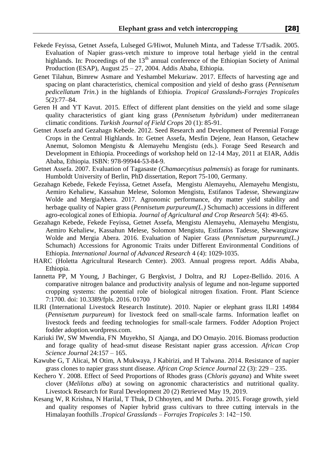- Fekede Feyissa, Getnet Assefa, Lulseged G/Hiwot, Muluneh Minta, and Tadesse T/Tsadik. 2005. Evaluation of Napier grass-vetch mixture to improve total herbage yield in the central highlands. In: Proceedings of the  $13<sup>th</sup>$  annual conference of the Ethiopian Society of Animal Production (ESAP), August 25 – 27, 2004. Addis Ababa, Ethiopia.
- Genet Tilahun, Bimrew Asmare and Yeshambel Mekuriaw. 2017. Effects of harvesting age and spacing on plant characteristics, chemical composition and yield of desho grass (*Pennisetum pedicellatum Trin*.) in the highlands of Ethiopia. *Tropical Grasslands-Forrajes Tropicales* 5(2):77–84.
- Geren H and YT Kavut. 2015. Effect of different plant densities on the yield and some silage quality characteristics of giant king grass (*Pennisetum hybridum*) under mediterranean climatic conditions. *Turkish Journal of Field Crops* 20 (1): 85-91.
- Getnet Assefa and Gezahagn Kebede. 2012. Seed Research and Development of Perennial Forage Crops in the Central Highlands. In: Getnet Assefa, Mesfin Dejene, Jean Hanson, Getachew Anemut, Solomon Mengistu & Alemayehu Mengistu (eds.). Forage Seed Research and Development in Ethiopia. Proceedings of workshop held on 12-14 May, 2011 at EIAR, Addis Ababa, Ethiopia. ISBN: 978-99944-53-84-9.
- Getnet Assefa. 2007. Evaluation of Tagasaste (*Chamaecytisus palmensis*) as forage for ruminants. Humboldt University of Berlin, PhD dissertation, Report 75-100, Germany.
- Gezahagn Kebede, Fekede Feyissa, Getnet Assefa, Mengistu Alemayehu, Alemayehu Mengistu, Aemiro Kehaliew, Kassahun Melese, Solomon Mengistu, Estifanos Tadesse, Shewangizaw Wolde and MergiaAbera. 2017. Agronomic performance, dry matter yield stability and herbage quality of Napier grass (*Pennisetum purpureum(L.)* Schumach) accessions in different agro-ecological zones of Ethiopia. *Journal of Agricultural and Crop Research* 5(4): 49-65.
- Gezahagn Kebede, Fekede Feyissa, Getnet Assefa, Mengistu Alemayehu, Alemayehu Mengistu, Aemiro Kehaliew, Kassahun Melese, Solomon Mengistu, Estifanos Tadesse, Shewangizaw Wolde and Mergia Abera. 2016. Evaluation of Napier Grass (*Pennisetum purpureum(L.)*  Schumach) Accessions for Agronomic Traits under Different Environmental Conditions of Ethiopia. *International Journal of Advanced Research* 4 (4): 1029-1035.
- HARC (Holetta Agricultural Research Center). 2003. Annual progress report. Addis Ababa, Ethiopia.
- Iannetta PP, M Young, J Bachinger, G Bergkvist, J Doltra, and RJ Lopez-Bellido. 2016. A comparative nitrogen balance and productivity analysis of legume and non-legume supported cropping systems: the potential role of biological nitrogen fixation. Front. Plant Science 7:1700. doi: 10.3389/fpls. 2016. 01700
- ILRI (International Livestock Research Institute). 2010. Napier or elephant grass ILRI 14984 (*Pennisetum purpureum*) for livestock feed on small-scale farms. Information leaflet on livestock feeds and feeding technologies for small-scale farmers. Fodder Adoption Project fodder adoption.wordpress.com.
- Kariuki IW, SW Mwendia, FN Muyekho, SI Ajanga, and DO Omayio. 2016. Biomass production and forage quality of head-smut disease Resistant napier grass accession. *African Crop Science Journal* 24:157 – 165.
- Kawube G, T Alicai, M Otim, A Mukwaya, J Kabirizi, and H Talwana. 2014. Resistance of napier grass clones to napier grass stunt disease. *African Crop Science Journal* 22 (3): 229 – 235.
- Kechero Y. 2008. Effect of Seed Proportions of Rhodes grass (*Chloris gayana*) and White sweet clover (*Melilotus alba*) at sowing on agronomic characteristics and nutritional quality. Livestock Research for Rural Development 20 (2) Retrieved May 19, 2019.
- Kesang W, R Krishna, N Harilal, T Thuk, D Chhoyten, and M Durba. 2015. Forage growth, yield and quality responses of Napier hybrid grass cultivars to three cutting intervals in the Himalayan foothills .*Tropical Grasslands – Forrajes Tropicales* 3: 142−150.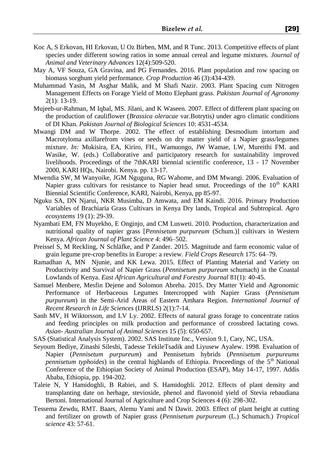- Koc A, S Erkovan, HI Erkovan, U Oz Birben, MM, and R Tunc. 2013. Competitive effects of plant species under different sowing ratios in some annual cereal and legume mixtures. *Journal of Animal and Veterinary Advances* 12(4):509-520.
- May A, VF Souza, GA Gravina, and PG Fernandes. 2016. Plant population and row spacing on biomass sorghum yield performance. *Crop Production* 46 (3):434-439.
- Muhammad Yasin, M Asghar Malik, and M Shafi Nazir. 2003. Plant Spacing cum Nitrogen Management Effects on Forage Yield of Motto Elephant grass. *Pakistan Journal of Agronomy* 2(1): 13-19.
- Mujeeb-ur-Rahman, M Iqbal, MS. Jilani, and K Waseen. 2007. Effect of different plant spacing on the production of cauliflower (*Brassica oleracae* var.Botrytis*)* under agro climatic conditions of DI Khan. *Pakistan Journal of Biological Sciences* 10: 4531-4534.
- Mwangi DM and W Thorpe. 2002. The effect of establishing Desmodium intortum and Macrotyloma axillarefrom vines or seeds on dry matter yield of a Napier grass/legumes mixture. *In:* Mukisira, EA, Kiriro, FH., Wamuongo, JW Wamae, LW, Mureithi FM. and Wasike, W. (eds.) Collaborative and participatory research for sustainability improved livelihoods. Proceedings of the 7thKARI biennial scientific conference, 13 - 17 November 2000, KARI HQs, Nairobi. Kenya. pp. 13-17.
- Mwendia SW, M Wanyoike, JGM Nguguna, RG Wahome, and DM Mwangi. 2006. Evaluation of Napier grass cultivars for resistance to Napier head smut. Proceedings of the  $10<sup>th</sup>$  KARI Biennial Scientific Conference, KARI, Nairobi, Kenya, pp 85-97.
- Nguku SA, DN Njarui, NKR Musimba, D Amwata, and EM Kaindi. 2016. Primary Production Variables of Brachiaria Grass Cultivars in Kenya Dry lands, Tropical and Subtropical. *Agro ecosystems* 19 (1): 29-39.
- Nyambati EM, FN Muyekho, E Onginjo, and CM Lusweti. 2010. Production, characterization and nutritional quality of napier grass [*Pennisetum purpureum* (Schum.)] cultivars in Western Kenya. *African Journal of Plant Science* 4: 496–502.
- Preissel S, M Reckling, N Schläfke, and P Zander. 2015. Magnitude and farm economic value of grain legume pre-crop benefits in Europe: a review. *Field Crops Research* 175: 64–79.
- Ramadhan A, MN Njunie, and KK Lewa. 2015. Effect of Planting Material and Variety on Productivity and Survival of Napier Grass (*Pennisetum purpureum* schumach) in the Coastal Lowlands of Kenya. *East African Agricultural and Forestry Journal* 81(1): 40-45.
- Samuel Menbere, Mesfin Dejene and Solomon Abreha. 2015. Dry Matter Yield and Agronomic Performance of Herbaceous Legumes Intercropped with Napier Grass (*Pennisetum purpureum*) in the Semi-Arid Areas of Eastern Amhara Region. *International Journal of Recent Research in Life Sciences* (IJRRLS) 2(1):7-14.
- Sanh MV, H Wiktorsson, and LV Ly. 2002. Effects of natural grass forage to concentrate ratios and feeding principles on milk production and performance of crossbred lactating cows. *Asian- Australian Journal of Animal Sciences* 15 (5): 650-657.
- SAS (Statistical Analysis System). 2002. SAS Institute Inc., Version 9.1, Cary, NC, USA.
- Seyoum Bediye, Zinashi Sileshi, Tadesse TekileTsadik and Liyusew Ayalew. 1998. Evaluation of Napier (*Pennisetum purpureum*) and Pennisetum hybrids (*Pennisetum purpureumx pennisetum typhoides*) in the central highlands of Ethiopia. Proceedings of the 5<sup>th</sup> National Conference of the Ethiopian Society of Animal Production (ESAP), May 14-17, 1997. Addis Ababa, Ethiopia, pp. 194-202.
- Taleie N, Y Hamidoghli, B Rabiei, and S. Hamidoghli. 2012. Effects of plant density and transplanting date on herbage, stevioside, phenol and flavonoid yield of Stevia rebaudiana Bertoni. International Journal of Agriculture and Crop Sciences 4 (6): 298-302.
- Tessema Zewdu, RMT. Baars, Alemu Yami and N Dawit. 2003. Effect of plant height at cutting and fertilizer on growth of Napier grass (*Pennisetum purpureum* (L.) Schumach.) *Tropical science* 43: 57-61.